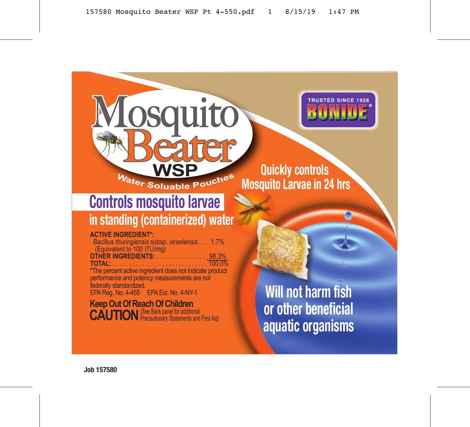

### **the set of <b>CO**<br> **the EQUILIBLE POUCHES MOSQUITO LARVAC in 2 Mosquito Larvae in 24 hrs**

# **Controls mosquito larvae**

## **in standing (containerized) water**

Mosquito

**WSP**

eater

#### **ACTIVE INGREDIENT\*:**

Bacillus *thuringiensis* subsp. *israelensis* . . . 1.7% (Equivalent to 100 ITU/mg) **OTHER INGREDIENTS:** . . . . . . . . . . . . . . . . 98.3% **TOTAL:** . . . . . . . . . . . . . . . . . . . . . . . . . . . . . 100.0% \*The percent active ingredient does not indicate product

performance and potency measurements are not federally standardized.

EPA Reg. No. 4-455 EPA Est. No. 4-NY-1

**Keep Out Of Reach Of Children<br><b>CAUTION** *Precautionary Statements and First Aid*)

**Will not harm fish or other beneficial aquatic organisms**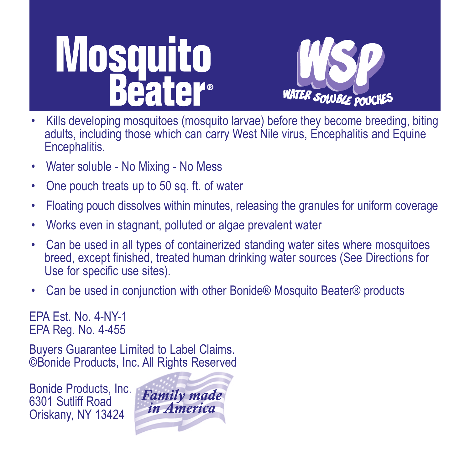**Mosquito Pater**®



- Kills developing mosquitoes (mosquito larvae) before they become breeding, biting adults, including those which can carry West Nile virus, Encephalitis and Equine Encephalitis.
- Water soluble No Mixing No Mess
- One pouch treats up to 50 sq. ft. of water
- Floating pouch dissolves within minutes, releasing the granules for uniform coverage
- Works even in stagnant, polluted or algae prevalent water
- Can be used in all types of containerized standing water sites where mosquitoes breed, except finished, treated human drinking water sources (See Directions for Use for specific use sites).
- Can be used in conjunction with other Bonide® Mosquito Beater® products

EPA Est. No. 4-NY-1 EPA Reg. No. 4-455

Buyers Guarantee Limited to Label Claims. ©Bonide Products, Inc. All Rights Reserved

Bonide Products, Inc. 6301 Sutliff Road Oriskany, NY 13424

**Family made** in America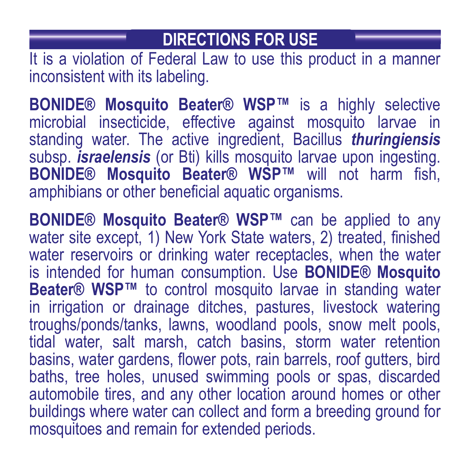#### **DIRECTIONS FOR USE**

It is a violation of Federal Law to use this product in a manner inconsistent with its labeling.

**BONIDE® Mosquito Beater® WSP™** is a highly selective microbial insecticide, effective against mosquito larvae in standing water. The active ingredient, Bacillus *thuringiensis* subsp. *israelensis* (or Bti) kills mosquito larvae upon ingesting. **BONIDE® Mosquito Beater® WSP™** will not harm fish, amphibians or other beneficial aquatic organisms.

**BONIDE® Mosquito Beater® WSP™** can be applied to any water site except, 1) New York State waters, 2) treated, finished water reservoirs or drinking water receptacles, when the water is intended for human consumption. Use **BONIDE® Mosquito Beater® WSP™** to control mosquito larvae in standing water in irrigation or drainage ditches, pastures, livestock watering troughs/ponds/tanks, lawns, woodland pools, snow melt pools, tidal water, salt marsh, catch basins, storm water retention basins, water gardens, flower pots, rain barrels, roof gutters, bird baths, tree holes, unused swimming pools or spas, discarded automobile tires, and any other location around homes or other buildings where water can collect and form a breeding ground for mosquitoes and remain for extended periods.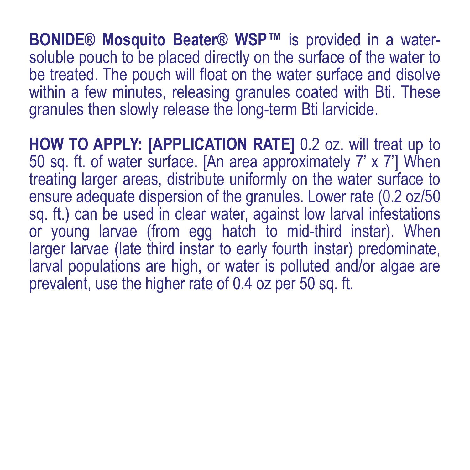**BONIDE® Mosquito Beater® WSP™** is provided in a watersoluble pouch to be placed directly on the surface of the water to be treated. The pouch will float on the water surface and disolve within a few minutes, releasing granules coated with Bti. These granules then slowly release the long-term Bti larvicide.

**HOW TO APPLY: [APPLICATION RATE]** 0.2 oz. will treat up to 50 sq. ft. of water surface. [An area approximately 7' x 7'] When treating larger areas, distribute uniformly on the water surface to ensure adequate dispersion of the granules. Lower rate (0.2 oz/50 sq. ft.) can be used in clear water, against low larval infestations or young larvae (from egg hatch to mid-third instar). When larger larvae (late third instar to early fourth instar) predominate, larval populations are high, or water is polluted and/or algae are prevalent, use the higher rate of 0.4 oz per 50 sq. ft.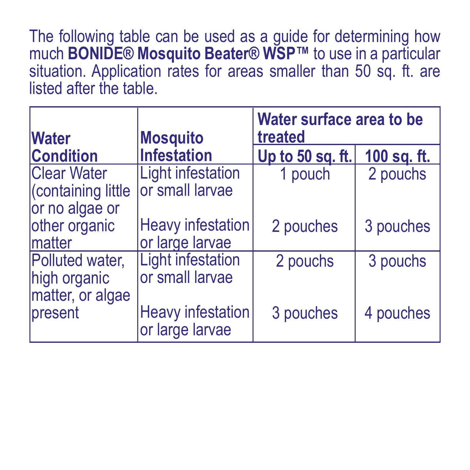The following table can be used as a guide for determining how much **BONIDE® Mosquito Beater® WSP™** to use in a particular situation. Application rates for areas smaller than 50 sq. ft. are listed after the table.

| <b>Water</b>                                              | <b>Mosquito</b>                             | Water surface area to be<br>treated |             |
|-----------------------------------------------------------|---------------------------------------------|-------------------------------------|-------------|
| <b>Condition</b>                                          | <b>Infestation</b>                          | Up to 50 sq. ft.                    | 100 sq. ft. |
| <b>Clear Water</b><br>Containing little<br>or no algae or | Light infestation<br>or small larvae        | 1 pouch                             | 2 pouchs    |
| other organic<br>Imatter                                  | <b>Heavy infestation</b><br>or large larvae | 2 pouches                           | 3 pouches   |
| Polluted water,<br>high organic<br>matter, or algae       | Light infestation<br>or small larvae        | 2 pouchs                            | 3 pouchs    |
| present                                                   | Heavy infestation<br>or large larvae        | 3 pouches                           | 4 pouches   |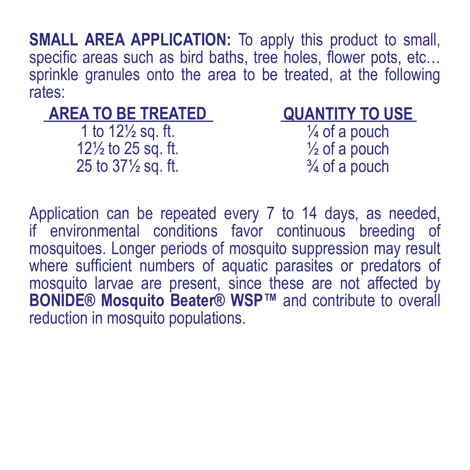**SMALL AREA APPLICATION:** To apply this product to small, specific areas such as bird baths, tree holes, flower pots, etc... sprinkle granules onto the area to be treated, at the following rates:

#### **AREA TO BE TREATED**

1 to 12½ sq. ft. 12½ to 25 sq. ft. 25 to 37½ sq. ft.

#### **QUANTITY TO USE**

¼ of a pouch ½ of a pouch  $\frac{3}{4}$  of a pouch

Application can be repeated every 7 to 14 days, as needed, if environmental conditions favor continuous breeding of mosquitoes. Longer periods of mosquito suppression may result where sufficient numbers of aquatic parasites or predators of mosquito larvae are present, since these are not affected by **BONIDE® Mosquito Beater® WSP™** and contribute to overall reduction in mosquito populations.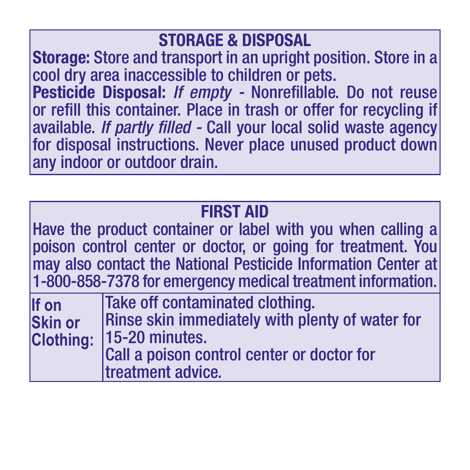#### **STORAGE & DISPOSAL**

**Storage:** Store and transport in an upright position. Store in a cool dry area inaccessible to children or pets. **Pesticide Disposal:** *If empty -* Nonrefillable. Do not reuse or refill this container. Place in trash or offer for recycling if available. *If partly filled -* Call your local solid waste agency for disposal instructions. Never place unused product down any indoor or outdoor drain.

|                                             | <b>FIRST AID</b><br>Have the product container or label with you when calling a<br>poison control center or doctor, or going for treatment. You<br>may also contact the National Pesticide Information Center at<br>1-800-858-7378 for emergency medical treatment information. |
|---------------------------------------------|---------------------------------------------------------------------------------------------------------------------------------------------------------------------------------------------------------------------------------------------------------------------------------|
| If on<br><b>Skin or</b><br><b>Clothing:</b> | Take off contaminated clothing.<br>Rinse skin immediately with plenty of water for<br>15-20 minutes.<br>Call a poison control center or doctor for<br>treatment advice.                                                                                                         |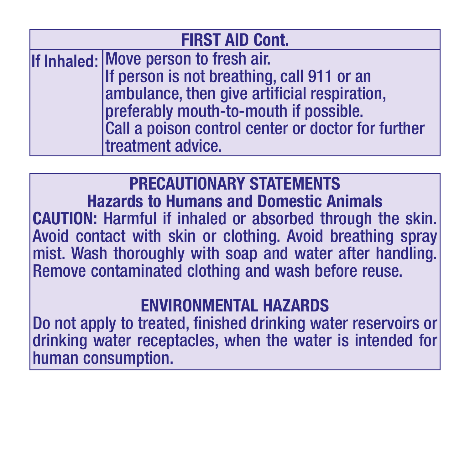| <b>FIRST AID Cont.</b> |                                                    |  |
|------------------------|----------------------------------------------------|--|
|                        | If Inhaled: Move person to fresh air.              |  |
|                        | If person is not breathing, call 911 or an         |  |
|                        | ambulance, then give artificial respiration,       |  |
|                        | preferably mouth-to-mouth if possible.             |  |
|                        | Call a poison control center or doctor for further |  |
|                        | treatment advice.                                  |  |

#### **PRECAUTIONARY STATEMENTS**

**Hazards to Humans and Domestic Animals CAUTION:** Harmful if inhaled or absorbed through the skin. Avoid contact with skin or clothing. Avoid breathing spray mist. Wash thoroughly with soap and water after handling. Remove contaminated clothing and wash before reuse.

#### **ENVIRONMENTAL HAZARDS**

Do not apply to treated, finished drinking water reservoirs or drinking water receptacles, when the water is intended for human consumption.